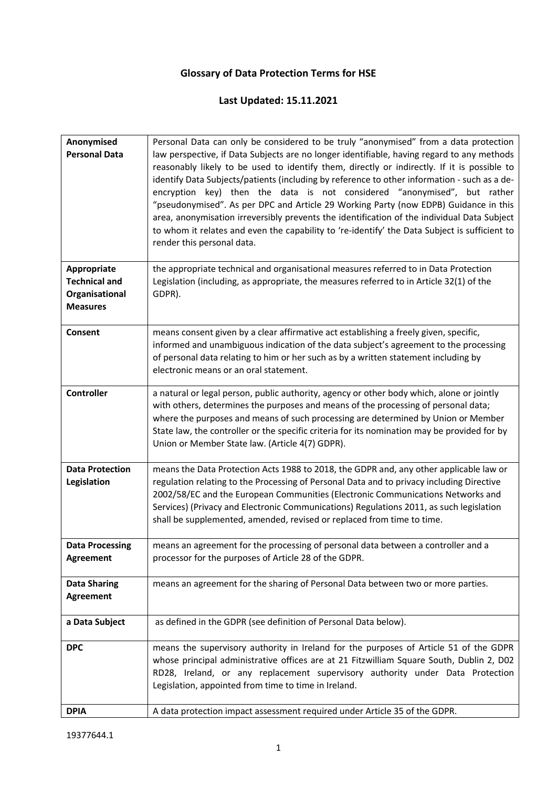## **Glossary of Data Protection Terms for HSE**

## **Last Updated: 15.11.2021**

| Anonymised             | Personal Data can only be considered to be truly "anonymised" from a data protection          |
|------------------------|-----------------------------------------------------------------------------------------------|
| <b>Personal Data</b>   | law perspective, if Data Subjects are no longer identifiable, having regard to any methods    |
|                        | reasonably likely to be used to identify them, directly or indirectly. If it is possible to   |
|                        |                                                                                               |
|                        | identify Data Subjects/patients (including by reference to other information - such as a de-  |
|                        | encryption key) then the data is not considered "anonymised", but rather                      |
|                        | "pseudonymised". As per DPC and Article 29 Working Party (now EDPB) Guidance in this          |
|                        | area, anonymisation irreversibly prevents the identification of the individual Data Subject   |
|                        | to whom it relates and even the capability to 're-identify' the Data Subject is sufficient to |
|                        | render this personal data.                                                                    |
|                        |                                                                                               |
| Appropriate            | the appropriate technical and organisational measures referred to in Data Protection          |
| <b>Technical and</b>   | Legislation (including, as appropriate, the measures referred to in Article 32(1) of the      |
|                        |                                                                                               |
| Organisational         | GDPR).                                                                                        |
| <b>Measures</b>        |                                                                                               |
|                        |                                                                                               |
| Consent                | means consent given by a clear affirmative act establishing a freely given, specific,         |
|                        | informed and unambiguous indication of the data subject's agreement to the processing         |
|                        | of personal data relating to him or her such as by a written statement including by           |
|                        | electronic means or an oral statement.                                                        |
|                        |                                                                                               |
| <b>Controller</b>      | a natural or legal person, public authority, agency or other body which, alone or jointly     |
|                        | with others, determines the purposes and means of the processing of personal data;            |
|                        | where the purposes and means of such processing are determined by Union or Member             |
|                        | State law, the controller or the specific criteria for its nomination may be provided for by  |
|                        | Union or Member State law. (Article 4(7) GDPR).                                               |
|                        |                                                                                               |
| <b>Data Protection</b> | means the Data Protection Acts 1988 to 2018, the GDPR and, any other applicable law or        |
| Legislation            | regulation relating to the Processing of Personal Data and to privacy including Directive     |
|                        | 2002/58/EC and the European Communities (Electronic Communications Networks and               |
|                        | Services) (Privacy and Electronic Communications) Regulations 2011, as such legislation       |
|                        | shall be supplemented, amended, revised or replaced from time to time.                        |
|                        |                                                                                               |
| <b>Data Processing</b> | means an agreement for the processing of personal data between a controller and a             |
| Agreement              | processor for the purposes of Article 28 of the GDPR.                                         |
|                        |                                                                                               |
| <b>Data Sharing</b>    | means an agreement for the sharing of Personal Data between two or more parties.              |
| <b>Agreement</b>       |                                                                                               |
|                        |                                                                                               |
| a Data Subject         | as defined in the GDPR (see definition of Personal Data below).                               |
|                        |                                                                                               |
|                        |                                                                                               |
| <b>DPC</b>             | means the supervisory authority in Ireland for the purposes of Article 51 of the GDPR         |
|                        | whose principal administrative offices are at 21 Fitzwilliam Square South, Dublin 2, D02      |
|                        | RD28, Ireland, or any replacement supervisory authority under Data Protection                 |
|                        | Legislation, appointed from time to time in Ireland.                                          |
|                        |                                                                                               |
| <b>DPIA</b>            | A data protection impact assessment required under Article 35 of the GDPR.                    |